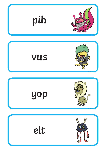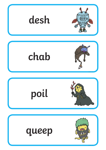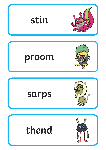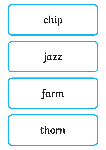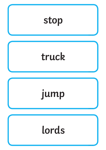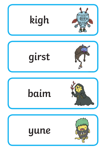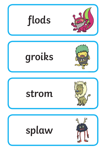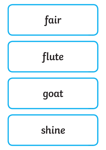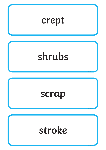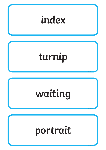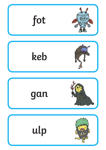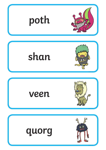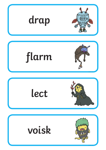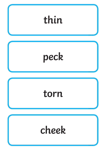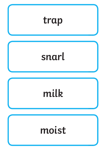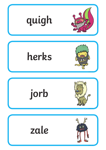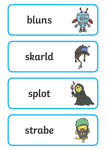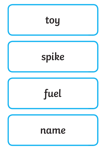![](_page_17_Figure_0.jpeg)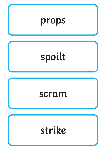![](_page_18_Figure_0.jpeg)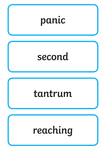![](_page_19_Figure_0.jpeg)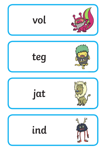![](_page_20_Figure_0.jpeg)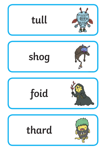![](_page_21_Figure_0.jpeg)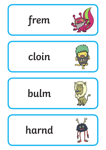![](_page_22_Figure_0.jpeg)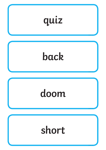![](_page_23_Figure_0.jpeg)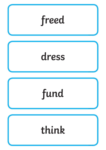![](_page_24_Figure_0.jpeg)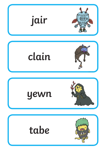![](_page_25_Figure_0.jpeg)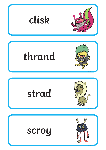![](_page_26_Figure_0.jpeg)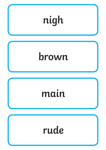![](_page_27_Figure_0.jpeg)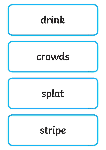![](_page_28_Figure_0.jpeg)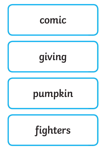![](_page_29_Figure_0.jpeg)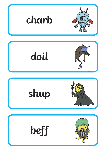![](_page_30_Figure_0.jpeg)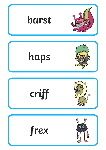![](_page_31_Picture_0.jpeg)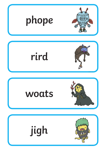![](_page_32_Figure_0.jpeg)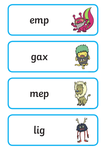![](_page_33_Figure_0.jpeg)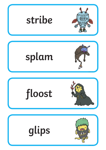![](_page_34_Picture_0.jpeg)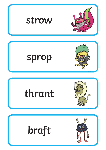![](_page_35_Picture_0.jpeg)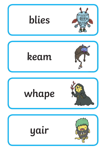![](_page_36_Figure_0.jpeg)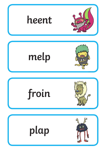![](_page_37_Picture_0.jpeg)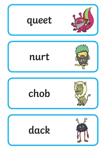![](_page_38_Picture_0.jpeg)